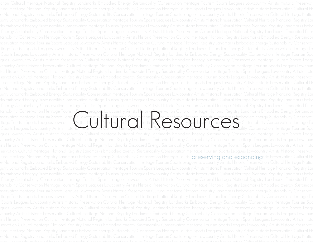tainability Conservation Heritage Tourism Sports Leagues Lowcountry Artists Historic Preservation Cultural Heritage National Registry Landmarks Embodied Energy Sustainabi nservation Heritage Tourism Sports Leagues Lowcountry <mark>Artists Historic Preserv</mark>ation <u>Cultural Heritage Nation</u>al Registry Landmarks Embodied Energy Sustainability Conservati ritage Tourism Sports Leagues Lowcountry Artists Historic Preservation Cultural Heritage Na<del>tiona</del>l Registry Landmarks Embod<del>ied P</del>nergy Sustainability Conservation Heritage To ainability Conservation Fieritage Tourism Cultural Leagues Lowcountry Artists Fistoric Director Cultural Heritage National Registry Landmarks Embodied Energy Sustainability Conservation<br>The History Sustainability Conservat ltural Heritage National Registry Landmarks Embodied Energy Sustainability Conservation Heritage Touris Pres**erving and expanding**oric Preservation Cultural H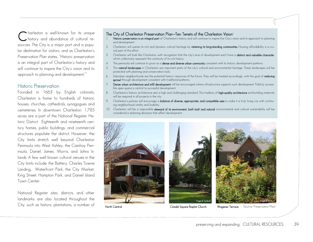harleston is well-known for its unique  $\bigcap$  harleston is well-known tor its unique<br>bistory and abundance of cultural resources. The City is a major port and a popular destination for visitors, and as Charleston's *Preservation Plan* states, "Historic preservation is an integral part of Charleston's history and will continue to inspire the City's vision and its approach to planning and development."1

### Historic Preservation

Founded in 1663 by English colonists, Charleston is home to hundreds of historic houses, churches, cathedrals, synagogues and cemeteries. In downtown Charleston, 1,785 acres are a part of the National Register Historic District. Eighteenth and nineteenth century homes, public buildings, and commercial structures populate the district. However, the City limits stretch well beyond Charleston Peninsula into West Ashley, the Cainhoy Peninsula, Daniel, James, Morris, and Johns Islands. A few well known cultural venues in the City limits include: the Battery, Charles Towne Landing, Waterfront Park, the City Market, King Street, Hampton Park, and Daniel Island Town Center.

National Register sites, districts, and other landmarks are also located throughout the City, such as historic plantations, a number of

# The City of Charleston Preservation Plan—Ten Tenets of the Charleston Vision<sup>2</sup><br>1. Historic preservation is an integral part of Charleston's history and will continue to inspire the City's vision and its approach to planni

- and development.
- 2. Charleston will sustain its rich and dynamic cultural heritage by retaining its long-standing communities. Housing affordability is a crucial part of this effort.
- Charleston will look like Charleston, with recognition that the city's eras of development each have a **distinct and valuable character**, which collectively represent the continuity of its rich history.
- 4. The peninsula will continue to grow as a dense and diverse urban community consistent with its historic development patterns.
- The natural landscapes in Charleston are important parts of the city's cultural and environmental heritage. These landscapes will be protected with planning and conservation tools.
- 6. Suburban neighborhoods are the potential historic resources of the future. They will be treated accordingly, with the goal of reducing sprawl through development consistent with traditional patterns.
- 7. Dense urban architecture and infill development will be encouraged where infrastructure supports such development. Publicly accessible open space is central to successful development.
- 8. Charleston's historic architecture sets a high and challenging standard. This tradition of **high-quality architecture** and building materials will be required in all projects in the city.
- Charleston's policies will encourage a **balance of diverse, appropriate, and compatible uses** to make it a truly living city with continuing neighborhood vitality and livability.
- 10. Charleston will be a responsible steward of its environment, both built and natural: environmental and cultural sustainability will be considered in planning decisions that affect development.

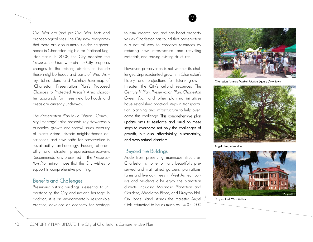Civil War era (and pre-Civil War) forts and archaeological sites. The City now recognizes that there are also numerous older neighborhoods in Charleston eligible for National Register status. In 2008, the City adopted the *Preservation Plan*, wherein the City proposes changes to the existing districts, to include these neighborhoods and parts of West Ashley, Johns Island and Cainhoy (see map of "Charleston Preservation Plan's Proposed Changes to Protected Areas"). Area character appraisals for these neighborhoods and areas are currently underway.

The *Preservation Plan* laka "Vision | Community | Heritage") also presents key stewardship principles, growth and sprawl issues, diversity of place visions, historic neighborhoods descriptions, and new paths for preservation in sustainability, archaeology, housing affordability and disaster preparedness/recovery. Recommendations presented in the *Preservation Plan* mirror those that the City wishes to support in comprehensive planning.

### Benefits and Challenges

Preserving historic buildings is essential to understanding the City and nation's heritage. In addition, it is an environmentally responsible practice, develops an economy for heritage tourism, creates jobs, and can boost property values. Charleston has found that preservation is a natural way to conserve resources by reducing new infrastructure, and recycling materials, and reusing existing structures.

V

However, preservation is not without its challenges. Unprecedented growth in Charleston's history and projections for future growth, threaten the City's cultural resources. The *Century V Plan*, *Preservation Plan, Charleston Green Plan* and other planning initiatives have established practical steps in transportation, planning, and infrastructure to help overcome this challenge. This comprehensive plan update aims to reinforce and build on these steps to overcome not only the challenges of growth, but also affordability, sustainability, and even natural disasters.

# Beyond the Buildings

Aside from preserving manmade structures, Charleston is home to many beautifully preserved and maintained gardens, plantations, farms and live oak trees. In West Ashley, tourists and residents alike enjoy the plantation districts, including Magnolia Plantation and Gardens, Middleton Place, and Drayton Hall. On Johns Island stands the majestic Angel Oak. Estimated to be as much as 1400-1500



Charleston Farmers Market, Marion Square Downtown



Angel Oak, Johns Island



Drayton Hall, West Ashley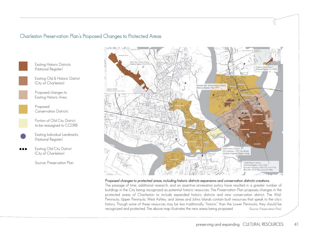# Charleston Preservation Plan's Proposed Changes to Protected Areas



Existing Historic Districts (National Register)

Existing Old & Historic District (City of Charleston)

Proposed changes to Existing Historic Area

> Proposed Conservation Districts

Portion of Old City District to be reassigned to CCDRB

Existing Individual Landmarks (National Register)

Existing Old City District (City of Charleston)

Source: Preservation Plan



#### *Proposed changes to protected areas, including historic districts expansions and conservation districts creations.*

The passage of time, additional research, and an assertive annexation policy have resulted in a greater number of buildings in the City being recognized as potential historic resources. The *Preservation* Plan proposes changes in the protected areas of Charleston to include expanded historic districts and new conservation district. The Mid-Peninsula, Upper Peninsula, West Ashley, and James and Johns Islands contain built resources that speak to the city's history. Though some of these resources may be less traditionally "historic" than the Lower Peninsula, they should be recognized and protected. The above map illustrates the new areas being proposed. (Source: *Preservation Plan*)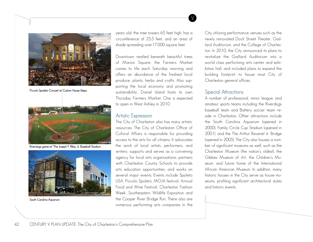

Piccolo Spoleto Concert at Custom House Steps



Riverdogs game at "The Joseph P. Riley, Jr. Baseball Stadium



South Carolina Aquarium

years old; the tree towers 65 feet high, has a circumference of 25.5 feet, and an area of shade spreading over17,000 square feet.

V

Downtown nestled beneath beautiful trees of Marion Square, the Farmers Market comes to life each Saturday morning and offers an abundance of the freshest local produce, plants, herbs and crafts. Also supporting the local economy and promoting sustainability, Daniel Island hosts its own Thursday Farmers Market. One is expected to open in West Ashley in 2010.

### Artistic Expression

The City of Charleston also has many artistic resources. The City of Charleston Office of Cultural Affairs is responsible for providing access to the arts for all citizens. It advocates the work of local artists, performers, and writers; supports and serves as a convening agency for local arts organizations; partners with Charleston County Schools to provide arts education opportunities; and works on several major events. Events include Spoleto USA, Piccolo Spoleto, MOJA festival, Annual Food and Wine Festival, Charleston Fashion Week, Southeastern Wildlife Exposition and the Cooper River Bridge Run. There also are numerous performing arts companies in the City utilizing performance venues such as the newly renovated Dock Street Theater, Gaillard Auditorium, and the College of Charleston. In 2010, the City announced its plans to revitalize the Gaillard Auditorium into a world class performing arts center and exhibition hall, and included plans to expand the building footprint to house most City of Charleston general offices.

# Special Attractions

A number of professional, minor league, and amateur sports teams including the Riverdogs baseball team and Battery soccer team reside in Charleston. Other attractions include the South Carolina Aquarium (opened in 2000), Family Circle Cup Stadium (opened in 2001), and the The Arthur Ravenel Jr. Bridge (opened in 2005). The City also houses a number of significant museums as well, such as the Charleston Museum (the nation's oldest), the Gibbes Museum of Art, the Children's Museum, and future home of the International African American Museum. In addition, many historic houses in the City serve as house museums, profiling significant architectural styles and historic events.